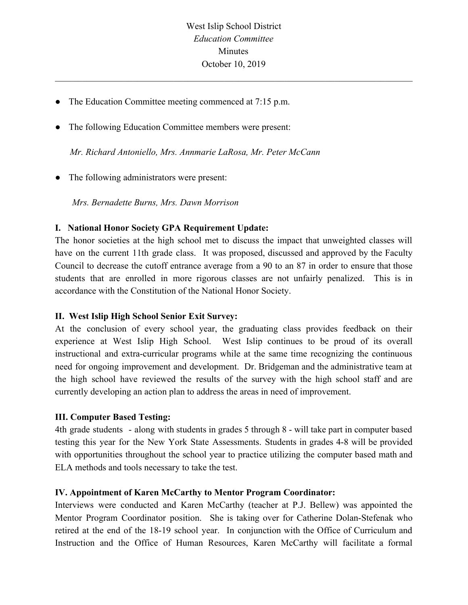$\mathcal{L}_\mathcal{L} = \{ \mathcal{L}_\mathcal{L} = \{ \mathcal{L}_\mathcal{L} = \{ \mathcal{L}_\mathcal{L} = \{ \mathcal{L}_\mathcal{L} = \{ \mathcal{L}_\mathcal{L} = \{ \mathcal{L}_\mathcal{L} = \{ \mathcal{L}_\mathcal{L} = \{ \mathcal{L}_\mathcal{L} = \{ \mathcal{L}_\mathcal{L} = \{ \mathcal{L}_\mathcal{L} = \{ \mathcal{L}_\mathcal{L} = \{ \mathcal{L}_\mathcal{L} = \{ \mathcal{L}_\mathcal{L} = \{ \mathcal{L}_\mathcal{$ 

- The Education Committee meeting commenced at 7:15 p.m.
- The following Education Committee members were present:

 *Mr. Richard Antoniello, Mrs. Annmarie LaRosa, Mr. Peter McCann*

• The following administrators were present:

*Mrs. Bernadette Burns, Mrs. Dawn Morrison*

## **I. National Honor Society GPA Requirement Update:**

The honor societies at the high school met to discuss the impact that unweighted classes will have on the current 11th grade class. It was proposed, discussed and approved by the Faculty Council to decrease the cutoff entrance average from a 90 to an 87 in order to ensure that those students that are enrolled in more rigorous classes are not unfairly penalized. This is in accordance with the Constitution of the National Honor Society.

## **II. West Islip High School Senior Exit Survey:**

At the conclusion of every school year, the graduating class provides feedback on their experience at West Islip High School. West Islip continues to be proud of its overall instructional and extra-curricular programs while at the same time recognizing the continuous need for ongoing improvement and development. Dr. Bridgeman and the administrative team at the high school have reviewed the results of the survey with the high school staff and are currently developing an action plan to address the areas in need of improvement.

## **III. Computer Based Testing:**

4th grade students - along with students in grades 5 through 8 - will take part in computer based testing this year for the New York State Assessments. Students in grades 4-8 will be provided with opportunities throughout the school year to practice utilizing the computer based math and ELA methods and tools necessary to take the test.

## **IV. Appointment of Karen McCarthy to Mentor Program Coordinator:**

Interviews were conducted and Karen McCarthy (teacher at P.J. Bellew) was appointed the Mentor Program Coordinator position. She is taking over for Catherine Dolan-Stefenak who retired at the end of the 18-19 school year. In conjunction with the Office of Curriculum and Instruction and the Office of Human Resources, Karen McCarthy will facilitate a formal